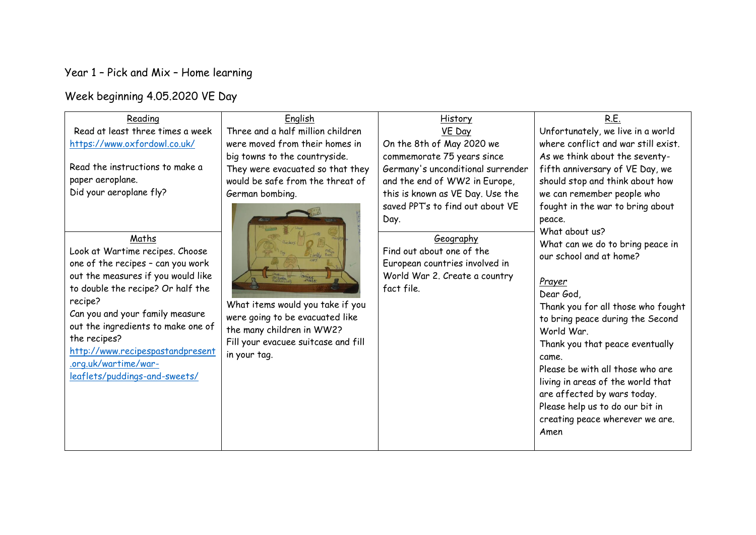## Year 1 – Pick and Mix – Home learning

Week beginning 4.05.2020 VE Day

| Reading                            | English                             | History                                | <u>R.E.</u>                         |
|------------------------------------|-------------------------------------|----------------------------------------|-------------------------------------|
| Read at least three times a week   | Three and a half million children   | VE Day                                 | Unfortunately, we live in a world   |
| https://www.oxfordowl.co.uk/       | were moved from their homes in      | On the 8th of May 2020 we              | where conflict and war still exist. |
|                                    | big towns to the countryside.       | commemorate 75 years since             | As we think about the seventy-      |
| Read the instructions to make a    | They were evacuated so that they    | Germany's unconditional surrender      | fifth anniversary of VE Day, we     |
| paper aeroplane.                   | would be safe from the threat of    | and the end of WW2 in Europe,          | should stop and think about how     |
| Did your aeroplane fly?            | German bombing.                     | this is known as VE Day. Use the       | we can remember people who          |
|                                    |                                     | saved PPT's to find out about VE       | fought in the war to bring about    |
|                                    |                                     | Day.                                   | peace.                              |
|                                    |                                     |                                        | What about us?                      |
| Maths                              |                                     | Geography<br>Find out about one of the | What can we do to bring peace in    |
| Look at Wartime recipes. Choose    |                                     |                                        | our school and at home?             |
| one of the recipes - can you work  |                                     | European countries involved in         |                                     |
| out the measures if you would like | mas                                 | World War 2. Create a country          | Prayer                              |
| to double the recipe? Or half the  |                                     | fact file.                             | Dear God,                           |
| recipe?                            | What items would you take if you    |                                        | Thank you for all those who fought  |
| Can you and your family measure    | were going to be evacuated like     |                                        | to bring peace during the Second    |
| out the ingredients to make one of | the many children in WW2?           |                                        | World War.                          |
| the recipes?                       | Fill your evacuee suitcase and fill |                                        | Thank you that peace eventually     |
| http://www.recipespastandpresent   | in your tag.                        |                                        | came.                               |
| .org.uk/wartime/war-               |                                     |                                        | Please be with all those who are    |
| leaflets/puddings-and-sweets/      |                                     |                                        | living in areas of the world that   |
|                                    |                                     |                                        | are affected by wars today.         |
|                                    |                                     |                                        | Please help us to do our bit in     |
|                                    |                                     |                                        | creating peace wherever we are.     |
|                                    |                                     |                                        | Amen                                |
|                                    |                                     |                                        |                                     |